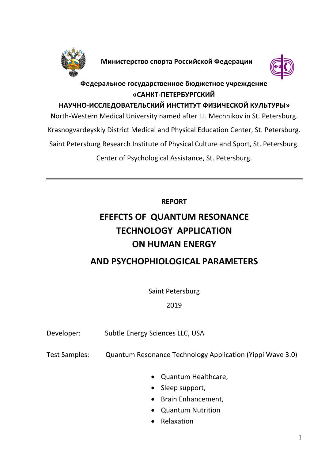

**Министерство спорта Российской Федерации**



## **Федеральное государственное бюджетное учреждение «САНКТ-ПЕТЕРБУРГСКИЙ**

## **НАУЧНО-ИССЛЕДОВАТЕЛЬСКИЙ ИНСТИТУТ ФИЗИЧЕСКОЙ КУЛЬТУРЫ»**

North-Western Medical University named after I.I. Mechnikov in St. Petersburg. Krasnogvardeyskiy District Medical and Physical Education Center, St. Petersburg.

Saint Petersburg Research Institute of Physical Culture and Sport, St. Petersburg.

Center of Psychological Assistance, St. Petersburg.

**REPORT**

# **EFEFCTS OF QUANTUM RESONANCE TECHNOLOGY APPLICATION ON HUMAN ENERGY**

## **AND PSYCHOPHIOLOGICAL PARAMETERS**

Saint Petersburg

2019

- Developer: Subtle Energy Sciences LLC, USA
- Test Samples: Quantum Resonance Technology Application (Yippi Wave 3.0)
	- Quantum Healthcare,
	- Sleep support,
	- Brain Enhancement,
	- Quantum Nutrition
	- Relaxation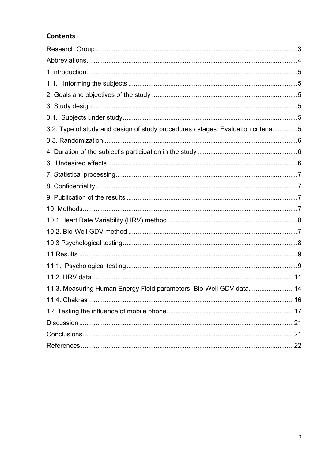## **Contents**

| 3.2. Type of study and design of study procedures / stages. Evaluation criteria. 5 |  |
|------------------------------------------------------------------------------------|--|
|                                                                                    |  |
|                                                                                    |  |
|                                                                                    |  |
|                                                                                    |  |
|                                                                                    |  |
|                                                                                    |  |
|                                                                                    |  |
|                                                                                    |  |
|                                                                                    |  |
|                                                                                    |  |
|                                                                                    |  |
|                                                                                    |  |
|                                                                                    |  |
| 11.3. Measuring Human Energy Field parameters. Bio-Well GDV data. 14               |  |
|                                                                                    |  |
|                                                                                    |  |
|                                                                                    |  |
|                                                                                    |  |
|                                                                                    |  |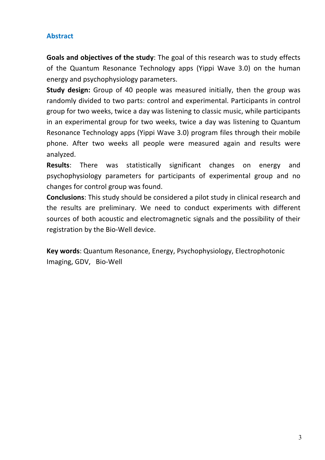## **Abstract**

**Goals and objectives of the study**: The goal of this research was to study effects of the Quantum Resonance Technology apps (Yippi Wave 3.0) on the human energy and psychophysiology parameters.

**Study design:** Group of 40 people was measured initially, then the group was randomly divided to two parts: control and experimental. Participants in control group for two weeks, twice a day was listening to classic music, while participants in an experimental group for two weeks, twice a day was listening to Quantum Resonance Technology apps (Yippi Wave 3.0) program files through their mobile phone. After two weeks all people were measured again and results were analyzed.

**Results**: There was statistically significant changes on energy and psychophysiology parameters for participants of experimental group and no changes for control group was found.

**Conclusions**: This study should be considered a pilot study in clinical research and the results are preliminary. We need to conduct experiments with different sources of both acoustic and electromagnetic signals and the possibility of their registration by the Bio-Well device.

**Key words**: Quantum Resonance, Energy, Psychophysiology, Electrophotonic Imaging, GDV, Bio-Well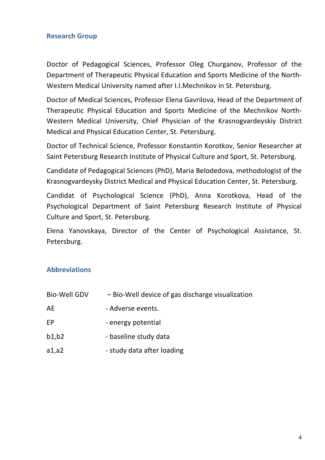#### **Research Group**

Doctor of Pedagogical Sciences, Professor Oleg Churganov, Professor of the Department of Therapeutic Physical Education and Sports Medicine of the North-Western Medical University named after I.I.Mechnikov in St. Petersburg.

Doctor of Medical Sciences, Professor Elena Gavrilova, Head of the Department of Therapeutic Physical Education and Sports Medicine of the Mechnikov North-Western Medical University, Chief Physician of the Krasnogvardeyskiy District Medical and Physical Education Center, St. Petersburg.

Doctor of Technical Science, Professor Konstantin Korotkov, Senior Researcher at Saint Petersburg Research Institute of Physical Culture and Sport, St. Petersburg.

Candidate of Pedagogical Sciences (PhD), Maria Belodedova, methodologist of the Krasnogvardeysky District Medical and Physical Education Center, St. Petersburg.

Candidat of Psychological Science (PhD), Anna Korotkova, Head of the Psychological Department of Saint Petersburg Research Institute of Physical Culture and Sport, St. Petersburg.

Elena Yanovskaya, Director of the Center of Psychological Assistance, St. Petersburg.

#### **Abbreviations**

| <b>Bio-Well GDV</b> | - Bio-Well device of gas discharge visualization |
|---------------------|--------------------------------------------------|
| AE                  | - Adverse events.                                |
| EP                  | - energy potential                               |
| b1,b2               | - baseline study data                            |
| a1, a2              | - study data after loading                       |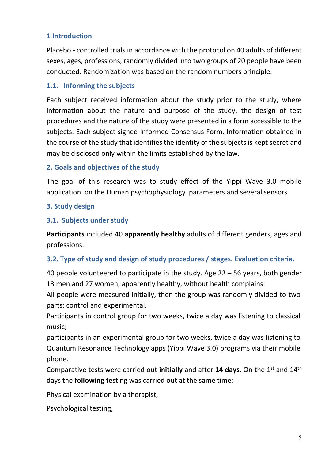## **1 Introduction**

Placebo - controlled trials in accordance with the protocol on 40 adults of different sexes, ages, professions, randomly divided into two groups of 20 people have been conducted. Randomization was based on the random numbers principle.

#### **1.1. Informing the subjects**

Each subject received information about the study prior to the study, where information about the nature and purpose of the study, the design of test procedures and the nature of the study were presented in a form accessible to the subjects. Each subject signed Informed Consensus Form. Information obtained in the course of the study that identifies the identity of the subjects is kept secret and may be disclosed only within the limits established by the law.

#### **2. Goals and objectives of the study**

The goal of this research was to study effect of the Yippi Wave 3.0 mobile application on the Human psychophysiology parameters and several sensors.

#### **3. Study design**

#### **3.1. Subjects under study**

**Participants** included 40 **apparently healthy** adults of different genders, ages and professions.

#### **3.2. Type of study and design of study procedures / stages. Evaluation criteria.**

40 people volunteered to participate in the study. Age 22 – 56 years, both gender 13 men and 27 women, apparently healthy, without health complains.

All people were measured initially, then the group was randomly divided to two parts: control and experimental.

Participants in control group for two weeks, twice a day was listening to classical music;

participants in an experimental group for two weeks, twice a day was listening to Quantum Resonance Technology apps (Yippi Wave 3.0) programs via their mobile phone.

Comparative tests were carried out initially and after 14 days. On the 1<sup>st</sup> and 14<sup>th</sup> days the **following te**sting was carried out at the same time:

Physical examination by a therapist,

Psychological testing,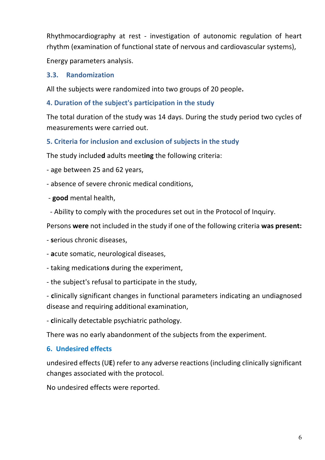Rhythmocardiography at rest - investigation of autonomic regulation of heart rhythm (examination of functional state of nervous and cardiovascular systems),

Energy parameters analysis.

## **3.3. Randomization**

All the subjects were randomized into two groups of 20 people**.**

## **4. Duration of the subject's participation in the study**

The total duration of the study was 14 days. During the study period two cycles of measurements were carried out.

## **5. Criteria for inclusion and exclusion of subjects in the study**

The study include**d** adults meet**ing** the following criteria:

- age between 25 and 62 years,

- absence of severe chronic medical conditions,
- **good** mental health,
- Ability to comply with the procedures set out in the Protocol of Inquiry.

Persons **were** not included in the study if one of the following criteria **was present:**

- **s**erious chronic diseases,
- **a**cute somatic, neurological diseases,
- taking medication**s** during the experiment,
- the subject's refusal to participate in the study,

- **c**linically significant changes in functional parameters indicating an undiagnosed disease and requiring additional examination,

- **c**linically detectable psychiatric pathology.

There was no early abandonment of the subjects from the experiment.

## **6. Undesired effects**

undesired effects (U**E**) refer to any adverse reactions (including clinically significant changes associated with the protocol.

No undesired effects were reported.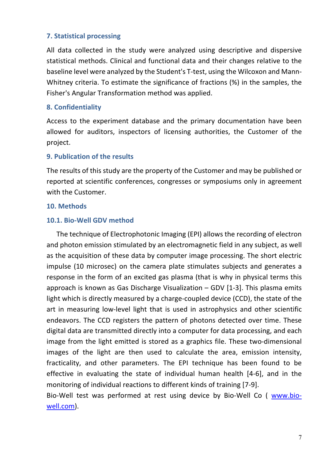#### **7. Statistical processing**

All data collected in the study were analyzed using descriptive and dispersive statistical methods. Clinical and functional data and their changes relative to the baseline level were analyzed by the Student's T-test, using the Wilcoxon and Mann-Whitney criteria. To estimate the significance of fractions (%) in the samples, the Fisher's Angular Transformation method was applied.

#### **8. Confidentiality**

Access to the experiment database and the primary documentation have been allowed for auditors, inspectors of licensing authorities, the Customer of the project.

#### **9. Publication of the results**

The results of this study are the property of the Customer and may be published or reported at scientific conferences, congresses or symposiums only in agreement with the Customer.

#### **10. Methods**

#### **10.1. Bio-Well GDV method**

The technique of Electrophotonic Imaging (EPI) allows the recording of electron and photon emission stimulated by an electromagnetic field in any subject, as well as the acquisition of these data by computer image processing. The short electric impulse (10 microsec) on the camera plate stimulates subjects and generates a response in the form of an excited gas plasma (that is why in physical terms this approach is known as Gas Discharge Visualization – GDV [1-3]. This plasma emits light which is directly measured by a charge-coupled device (CCD), the state of the art in measuring low-level light that is used in astrophysics and other scientific endeavors. The CCD registers the pattern of photons detected over time. These digital data are transmitted directly into a computer for data processing, and each image from the light emitted is stored as a graphics file. These two-dimensional images of the light are then used to calculate the area, emission intensity, fracticality, and other parameters. The EPI technique has been found to be effective in evaluating the state of individual human health [4-6], and in the monitoring of individual reactions to different kinds of training [7-9]. Bio-Well test was performed at rest using device by Bio-Well Co ( www.bio-

well.com).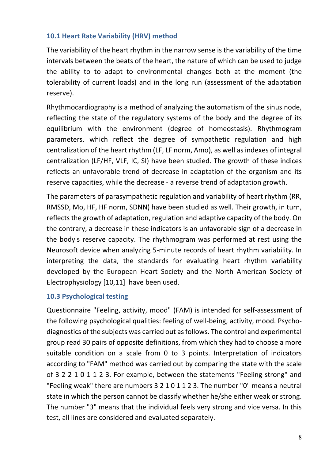## **10.1 Heart Rate Variability (HRV) method**

The variability of the heart rhythm in the narrow sense is the variability of the time intervals between the beats of the heart, the nature of which can be used to judge the ability to to adapt to environmental changes both at the moment (the tolerability of current loads) and in the long run (assessment of the adaptation reserve).

Rhythmocardiography is a method of analyzing the automatism of the sinus node, reflecting the state of the regulatory systems of the body and the degree of its equilibrium with the environment (degree of homeostasis). Rhythmogram parameters, which reflect the degree of sympathetic regulation and high centralization of the heart rhythm (LF, LF norm, Amo), as well as indexes of integral centralization (LF/HF, VLF, IC, SI) have been studied. The growth of these indices reflects an unfavorable trend of decrease in adaptation of the organism and its reserve capacities, while the decrease - a reverse trend of adaptation growth.

The parameters of parasympathetic regulation and variability of heart rhythm (RR, RMSSD, Mo, HF, HF norm, SDNN) have been studied as well. Their growth, in turn, reflects the growth of adaptation, regulation and adaptive capacity of the body. On the contrary, a decrease in these indicators is an unfavorable sign of a decrease in the body's reserve capacity. The rhythmogram was performed at rest using the Neurosoft device when analyzing 5-minute records of heart rhythm variability. In interpreting the data, the standards for evaluating heart rhythm variability developed by the European Heart Society and the North American Society of Electrophysiology [10,11] have been used.

#### **10.3 Psychological testing**

Questionnaire "Feeling, activity, mood" (FAM) is intended for self-assessment of the following psychological qualities: feeling of well-being, activity, mood. Psychodiagnostics of the subjects was carried out as follows. The control and experimental group read 30 pairs of opposite definitions, from which they had to choose a more suitable condition on a scale from 0 to 3 points. Interpretation of indicators according to "FAM" method was carried out by comparing the state with the scale of 3 2 2 1 0 1 1 2 3. For example, between the statements "Feeling strong" and "Feeling weak" there are numbers 3 2 1 0 1 1 2 3. The number "0" means a neutral state in which the person cannot be classify whether he/she either weak or strong. The number "3" means that the individual feels very strong and vice versa. In this test, all lines are considered and evaluated separately.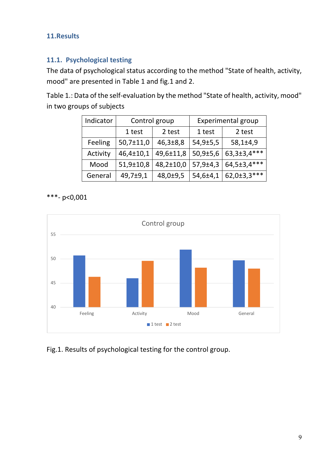## **11.Results**

## **11.1. Psychological testing**

The data of psychological status according to the method "State of health, activity, mood" are presented in Table 1 and fig.1 and 2.

Table 1.: Data of the self-evaluation by the method "State of health, activity, mood" in two groups of subjects

| Indicator | Control group   |                | <b>Experimental group</b> |                   |
|-----------|-----------------|----------------|---------------------------|-------------------|
|           | 1 test          | 2 test         | 1 test                    | 2 test            |
| Feeling   | $50,7 \pm 11,0$ | $46,3 \pm 8,8$ | 54,9±5,5                  | $58,1 \pm 4,9$    |
| Activity  | 46,4±10,1       | 49,6±11,8      | $50,9{\pm}5,6$            | 63, 3±3, 4***     |
| Mood      | 51,9±10,8       | 48,2±10,0      | 57,9±4,3                  | 64,5±3,4***       |
| General   | 49,7±9,1        | 48,0±9,5       | 54,6±4,1                  | $62,0{\pm}3,3***$ |

\*\*\*- р<0,001



Fig.1. Results of psychological testing for the control group.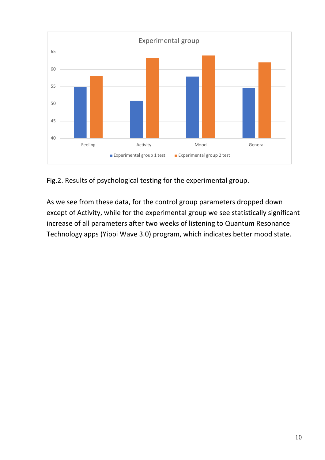

Fig.2. Results of psychological testing for the experimental group.

As we see from these data, for the control group parameters dropped down except of Activity, while for the experimental group we see statistically significant increase of all parameters after two weeks of listening to Quantum Resonance Technology apps (Yippi Wave 3.0) program, which indicates better mood state.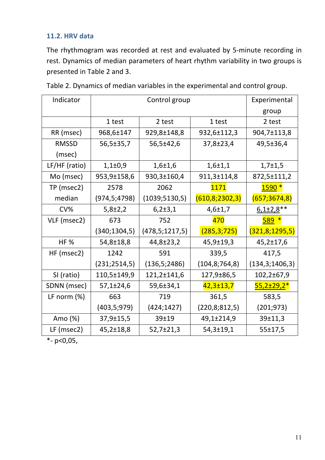## **11.2. HRV data**

The rhythmogram was recorded at rest and evaluated by 5-minute recording in rest. Dynamics of median parameters of heart rhythm variability in two groups is presented in Table 2 and 3.

| Indicator      | Control group   |                   |                   | Experimental      |
|----------------|-----------------|-------------------|-------------------|-------------------|
|                |                 |                   |                   | group             |
|                | 1 test          | 2 test            | 1 test            | 2 test            |
| RR (msec)      | 968,6±147       | 929,8±148,8       | 932,6±112,3       | 904,7±113,8       |
| <b>RMSSD</b>   | 56,5±35,7       | 56,5±42,6         | 37,8±23,4         | 49,5±36,4         |
| (msec)         |                 |                   |                   |                   |
| LF/HF (ratio)  | $1,1\pm0,9$     | $1,6+1,6$         | $1,6+1,1$         | $1,7\pm1,5$       |
| Mo (msec)      | 953,9±158,6     | 930,3±160,4       | 911,3±114,8       | 872,5±111,2       |
| TP (msec2)     | 2578            | 2062              | 1171              | 1590 <sup>*</sup> |
| median         | (974, 5; 4798)  | (1039; 5130, 5)   | (610, 8; 2302, 3) | (657; 3674, 8)    |
| CV%            | $5,8{\pm}2,2$   | 6,2±3,1           | $4,6 \pm 1,7$     | $6,1\pm2,8$ **    |
| VLF (msec2)    | 673             | 752               | 470               | $589*$            |
|                | (340; 1304, 5)  | (478, 5; 1217, 5) | (285, 3; 725)     | (321, 8; 1295, 5) |
| <b>HF%</b>     | 54,8±18,8       | 44,8±23,2         | 45,9±19,3         | 45,2±17,6         |
| HF (msec2)     | 1242            | 591               | 339,5             | 417,5             |
|                | (231; 2514, 5)  | (136, 5; 2486)    | (104, 8; 764, 8)  | (134,3;1406,3)    |
| SI (ratio)     | 110,5±149,9     | 121,2±141,6       | 127,9±86,5        | 102,2±67,9        |
| SDNN (msec)    | $57,1 \pm 24,6$ | 59,6±34,1         | $42,3 \pm 13,7$   | <u>55,2±29,2*</u> |
| LF norm $(\%)$ | 663             | 719               | 361,5             | 583,5             |
|                | (403, 5; 979)   | (424; 1427)       | (220,8;812,5)     | (201; 973)        |
| Amo $(\%)$     | 37,9±15,5       | 39±19             | 49,1±214,9        | 39±11,3           |
| LF (msec2)     | 45,2±18,8       | 52,7±21,3         | 54,3±19,1         | 55±17,5           |

Table 2. Dynamics of median variables in the experimental and control group.

 $\overline{P}$  - p<0,05,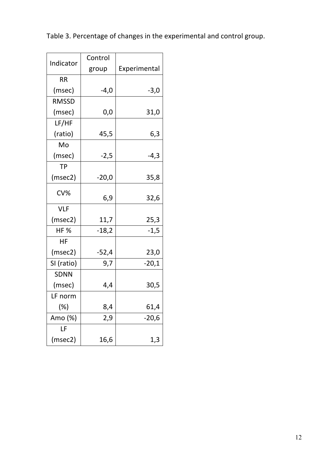Table 3. Percentage of changes in the experimental and control group.

|              | Control |              |
|--------------|---------|--------------|
| Indicator    | group   | Experimental |
| RR           |         |              |
| (msec)       | $-4,0$  | $-3,0$       |
| <b>RMSSD</b> |         |              |
| (msec)       | 0,0     | 31,0         |
| LF/HF        |         |              |
| (ratio)      | 45,5    | 6,3          |
| Mo           |         |              |
| (msec)       | $-2,5$  | $-4,3$       |
| <b>TP</b>    |         |              |
| (msec2)      | $-20,0$ | 35,8         |
| CV%          | 6,9     | 32,6         |
| <b>VLF</b>   |         |              |
| (msec2)      | 11,7    | 25,3         |
| <b>HF%</b>   | $-18,2$ | $-1,5$       |
| HF           |         |              |
| (msec2)      | $-52,4$ | 23,0         |
| SI (ratio)   | 9,7     | $-20,1$      |
| <b>SDNN</b>  |         |              |
| (msec)       | 4,4     | 30,5         |
| LF norm      |         |              |
| $(\%)$       | 8,4     | 61,4         |
| Amo (%)      | 2,9     | $-20,6$      |
| LF           |         |              |
| (msec2)      | 16,6    | 1,3          |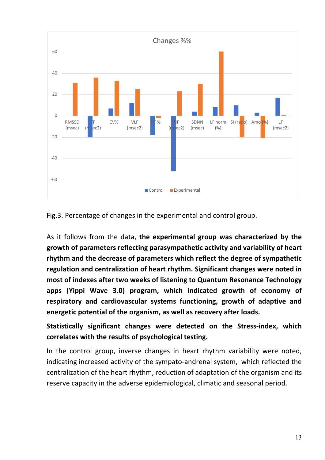

Fig.3. Percentage of changes in the experimental and control group.

As it follows from the data, **the experimental group was characterized by the growth of parameters reflecting parasympathetic activity and variability of heart rhythm and the decrease of parameters which reflect the degree of sympathetic regulation and centralization of heart rhythm. Significant changes were noted in most of indexes after two weeks of listening to Quantum Resonance Technology apps (Yippi Wave 3.0) program, which indicated growth of economy of respiratory and cardiovascular systems functioning, growth of adaptive and energetic potential of the organism, as well as recovery after loads.**

**Statistically significant changes were detected on the Stress-index, which correlates with the results of psychological testing.** 

In the control group, inverse changes in heart rhythm variability were noted, indicating increased activity of the sympato-andrenal system, which reflected the centralization of the heart rhythm, reduction of adaptation of the organism and its reserve capacity in the adverse epidemiological, climatic and seasonal period.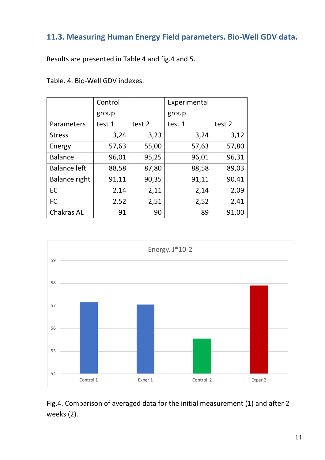## **11.3. Measuring Human Energy Field parameters. Bio-Well GDV data.**

Results are presented in Table 4 and fig.4 and 5.

|                      | Control |        | Experimental |        |
|----------------------|---------|--------|--------------|--------|
|                      | group   |        | group        |        |
| Parameters           | test 1  | test 2 | test 1       | test 2 |
| <b>Stress</b>        | 3,24    | 3,23   | 3,24         | 3,12   |
| Energy               | 57,63   | 55,00  | 57,63        | 57,80  |
| <b>Balance</b>       | 96,01   | 95,25  | 96,01        | 96,31  |
| <b>Balance left</b>  | 88,58   | 87,80  | 88,58        | 89,03  |
| <b>Balance right</b> | 91,11   | 90,35  | 91,11        | 90,41  |
| EC                   | 2,14    | 2,11   | 2,14         | 2,09   |
| <b>FC</b>            | 2,52    | 2,51   | 2,52         | 2,41   |
| <b>Chakras AL</b>    | 91      | 90     | 89           | 91,00  |



Fig.4. Comparison of averaged data for the initial measurement (1) and after 2 weeks (2).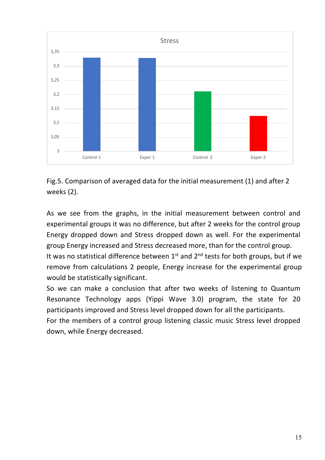

Fig.5. Comparison of averaged data for the initial measurement (1) and after 2 weeks (2).

As we see from the graphs, in the initial measurement between control and experimental groups it was no difference, but after 2 weeks for the control group Energy dropped down and Stress dropped down as well. For the experimental group Energy increased and Stress decreased more, than for the control group.

It was no statistical difference between  $1<sup>st</sup>$  and  $2<sup>nd</sup>$  tests for both groups, but if we remove from calculations 2 people, Energy increase for the experimental group would be statistically significant.

So we can make a conclusion that after two weeks of listening to Quantum Resonance Technology apps (Yippi Wave 3.0) program, the state for 20 participants improved and Stress level dropped down for all the participants.

For the members of a control group listening classic music Stress level dropped down, while Energy decreased.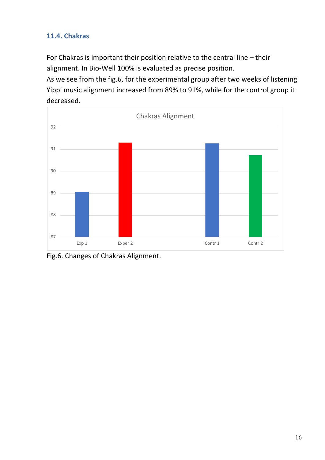## **11.4. Chakras**

For Chakras is important their position relative to the central line – their alignment. In Bio-Well 100% is evaluated as precise position.

As we see from the fig.6, for the experimental group after two weeks of listening Yippi music alignment increased from 89% to 91%, while for the control group it decreased.



Fig.6. Changes of Chakras Alignment.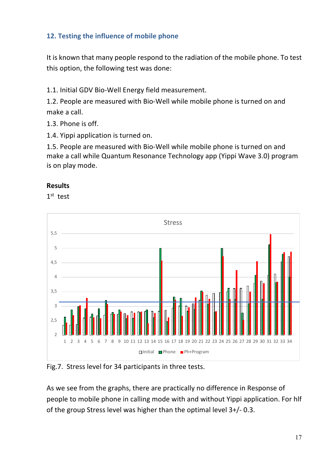## **12. Testing the influence of mobile phone**

It is known that many people respond to the radiation of the mobile phone. To test this option, the following test was done:

1.1. Initial GDV Bio-Well Energy field measurement.

1.2. People are measured with Bio-Well while mobile phone is turned on and make a call.

1.3. Phone is off.

1.4. Yippi application is turned on.

1.5. People are measured with Bio-Well while mobile phone is turned on and make a call while Quantum Resonance Technology app (Yippi Wave 3.0) program is on play mode.

#### **Results**

1<sup>st</sup> test



Fig.7. Stress level for 34 participants in three tests.

As we see from the graphs, there are practically no difference in Response of people to mobile phone in calling mode with and without Yippi application. For hlf of the group Stress level was higher than the optimal level 3+/- 0.3.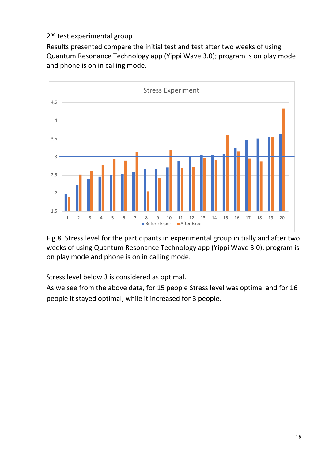## 2<sup>nd</sup> test experimental group

Results presented compare the initial test and test after two weeks of using Quantum Resonance Technology app (Yippi Wave 3.0); program is on play mode and phone is on in calling mode.



Fig.8. Stress level for the participants in experimental group initially and after two weeks of using Quantum Resonance Technology app (Yippi Wave 3.0); program is on play mode and phone is on in calling mode.

Stress level below 3 is considered as optimal.

As we see from the above data, for 15 people Stress level was optimal and for 16 people it stayed optimal, while it increased for 3 people.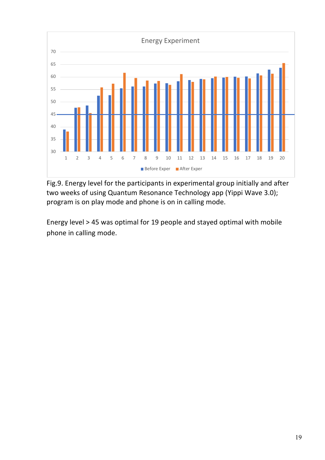

Fig.9. Energy level for the participants in experimental group initially and after two weeks of using Quantum Resonance Technology app (Yippi Wave 3.0); program is on play mode and phone is on in calling mode.

Energy level > 45 was optimal for 19 people and stayed optimal with mobile phone in calling mode.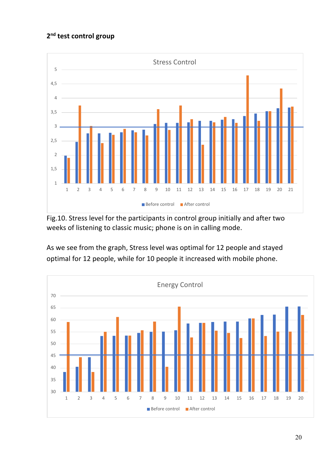## **2nd test control group**



Fig.10. Stress level for the participants in control group initially and after two weeks of listening to classic music; phone is on in calling mode.

As we see from the graph, Stress level was optimal for 12 people and stayed optimal for 12 people, while for 10 people it increased with mobile phone.

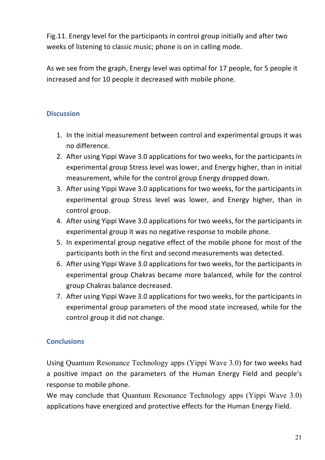Fig.11. Energy level for the participants in control group initially and after two weeks of listening to classic music; phone is on in calling mode.

As we see from the graph, Energy level was optimal for 17 people, for 5 people it increased and for 10 people it decreased with mobile phone.

## **Discussion**

- 1. In the initial measurement between control and experimental groups it was no difference.
- 2. After using Yippi Wave 3.0 applications for two weeks, for the participants in experimental group Stress level was lower, and Energy higher, than in initial measurement, while for the control group Energy dropped down.
- 3. After using Yippi Wave 3.0 applications for two weeks, for the participants in experimental group Stress level was lower, and Energy higher, than in control group.
- 4. After using Yippi Wave 3.0 applications for two weeks, for the participants in experimental group it was no negative response to mobile phone.
- 5. In experimental group negative effect of the mobile phone for most of the participants both in the first and second measurements was detected.
- 6. After using Yippi Wave 3.0 applications for two weeks, for the participants in experimental group Chakras became more balanced, while for the control group Chakras balance decreased.
- 7. After using Yippi Wave 3.0 applications for two weeks, for the participants in experimental group parameters of the mood state increased, while for the control group it did not change.

## **Conclusions**

Using Quantum Resonance Technology apps (Yippi Wave 3.0) for two weeks had a positive impact on the parameters of the Human Energy Field and people's response to mobile phone.

We may conclude that Quantum Resonance Technology apps (Yippi Wave 3.0) applications have energized and protective effects for the Human Energy Field.